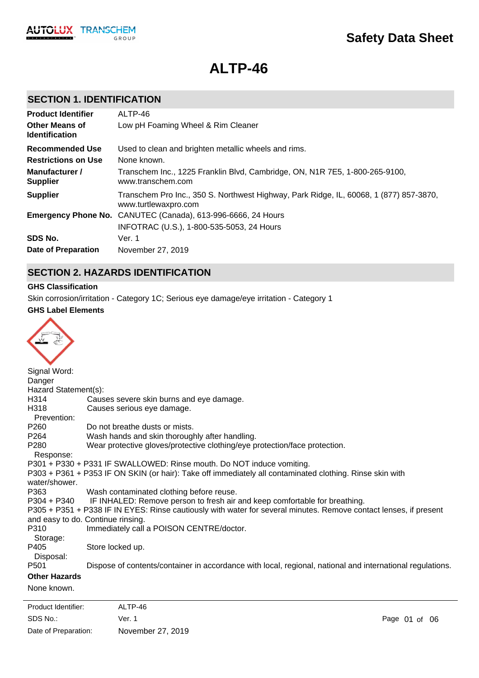

# **ALTP-46**

# **SECTION 1. IDENTIFICATION**

| <b>Product Identifier</b>                      | ALTP-46                                                                                                        |
|------------------------------------------------|----------------------------------------------------------------------------------------------------------------|
| <b>Other Means of</b><br><b>Identification</b> | Low pH Foaming Wheel & Rim Cleaner                                                                             |
| <b>Recommended Use</b>                         | Used to clean and brighten metallic wheels and rims.                                                           |
| <b>Restrictions on Use</b>                     | None known.                                                                                                    |
| Manufacturer /<br><b>Supplier</b>              | Transchem Inc., 1225 Franklin Blvd, Cambridge, ON, N1R 7E5, 1-800-265-9100,<br>www.transchem.com               |
| <b>Supplier</b>                                | Transchem Pro Inc., 350 S. Northwest Highway, Park Ridge, IL, 60068, 1 (877) 857-3870,<br>www.turtlewaxpro.com |
|                                                | Emergency Phone No. CANUTEC (Canada), 613-996-6666, 24 Hours                                                   |
|                                                | INFOTRAC (U.S.), 1-800-535-5053, 24 Hours                                                                      |
| SDS No.                                        | Ver. 1                                                                                                         |
| Date of Preparation                            | November 27, 2019                                                                                              |

# **SECTION 2. HAZARDS IDENTIFICATION**

### **GHS Classification**

Skin corrosion/irritation - Category 1C; Serious eye damage/eye irritation - Category 1

#### **GHS Label Elements**

| Signal Word:         |                                                                                                                   |
|----------------------|-------------------------------------------------------------------------------------------------------------------|
| Danger               |                                                                                                                   |
| Hazard Statement(s): |                                                                                                                   |
| H314                 | Causes severe skin burns and eye damage.                                                                          |
| H318                 | Causes serious eye damage.                                                                                        |
| Prevention:          |                                                                                                                   |
| P <sub>260</sub>     | Do not breathe dusts or mists.                                                                                    |
| P <sub>264</sub>     | Wash hands and skin thoroughly after handling.                                                                    |
| P280                 | Wear protective gloves/protective clothing/eye protection/face protection.                                        |
| Response:            |                                                                                                                   |
|                      | P301 + P330 + P331 IF SWALLOWED: Rinse mouth. Do NOT induce vomiting.                                             |
| water/shower.        | P303 + P361 + P353 IF ON SKIN (or hair): Take off immediately all contaminated clothing. Rinse skin with          |
| P363                 | Wash contaminated clothing before reuse.                                                                          |
| P304 + P340          | IF INHALED: Remove person to fresh air and keep comfortable for breathing.                                        |
|                      | P305 + P351 + P338 IF IN EYES: Rinse cautiously with water for several minutes. Remove contact lenses, if present |
|                      | and easy to do. Continue rinsing.                                                                                 |
| P310                 | Immediately call a POISON CENTRE/doctor.                                                                          |
| Storage:             |                                                                                                                   |
| P405                 | Store locked up.                                                                                                  |
| Disposal:            |                                                                                                                   |
| P <sub>501</sub>     | Dispose of contents/container in accordance with local, regional, national and international regulations.         |
| <b>Other Hazards</b> |                                                                                                                   |
| None known.          |                                                                                                                   |
|                      |                                                                                                                   |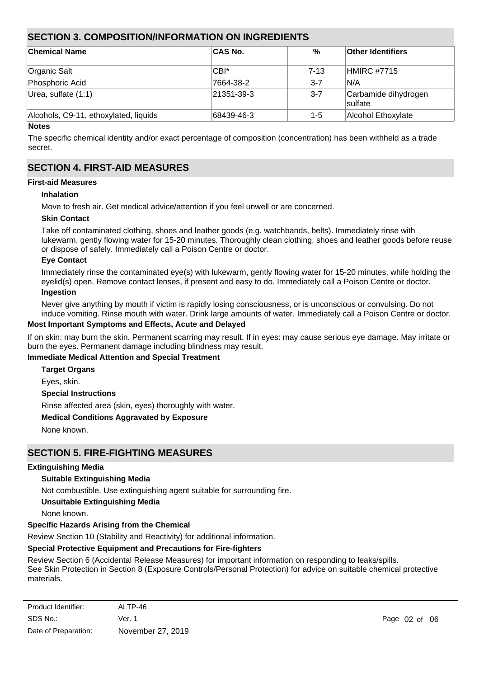# **SECTION 3. COMPOSITION/INFORMATION ON INGREDIENTS**

| <b>Chemical Name</b>                  | <b>CAS No.</b>     | %       | <b>Other Identifiers</b>               |
|---------------------------------------|--------------------|---------|----------------------------------------|
| Organic Salt                          | CBI*               | 7-13    | <b>HMIRC #7715</b>                     |
| Phosphoric Acid                       | 7664-38-2          | $3 - 7$ | IN/A                                   |
| Urea, sulfate (1:1)                   | $ 21351 - 39 - 3 $ | $3 - 7$ | Carbamide dihydrogen<br><b>Sulfate</b> |
| Alcohols, C9-11, ethoxylated, liquids | 68439-46-3         | $1 - 5$ | Alcohol Ethoxylate                     |

#### **Notes**

The specific chemical identity and/or exact percentage of composition (concentration) has been withheld as a trade secret.

# **SECTION 4. FIRST-AID MEASURES**

# **First-aid Measures**

#### **Inhalation**

Move to fresh air. Get medical advice/attention if you feel unwell or are concerned.

#### **Skin Contact**

Take off contaminated clothing, shoes and leather goods (e.g. watchbands, belts). Immediately rinse with lukewarm, gently flowing water for 15-20 minutes. Thoroughly clean clothing, shoes and leather goods before reuse or dispose of safely. Immediately call a Poison Centre or doctor.

#### **Eye Contact**

Immediately rinse the contaminated eye(s) with lukewarm, gently flowing water for 15-20 minutes, while holding the eyelid(s) open. Remove contact lenses, if present and easy to do. Immediately call a Poison Centre or doctor.

#### **Ingestion**

Never give anything by mouth if victim is rapidly losing consciousness, or is unconscious or convulsing. Do not induce vomiting. Rinse mouth with water. Drink large amounts of water. Immediately call a Poison Centre or doctor.

#### **Most Important Symptoms and Effects, Acute and Delayed**

If on skin: may burn the skin. Permanent scarring may result. If in eyes: may cause serious eye damage. May irritate or burn the eyes. Permanent damage including blindness may result.

#### **Immediate Medical Attention and Special Treatment**

**Target Organs**

Eyes, skin.

**Special Instructions**

Rinse affected area (skin, eyes) thoroughly with water.

#### **Medical Conditions Aggravated by Exposure**

None known.

# **SECTION 5. FIRE-FIGHTING MEASURES**

#### **Extinguishing Media**

#### **Suitable Extinguishing Media**

Not combustible. Use extinguishing agent suitable for surrounding fire.

### **Unsuitable Extinguishing Media**

None known.

# **Specific Hazards Arising from the Chemical**

Review Section 10 (Stability and Reactivity) for additional information.

#### **Special Protective Equipment and Precautions for Fire-fighters**

Review Section 6 (Accidental Release Measures) for important information on responding to leaks/spills.

See Skin Protection in Section 8 (Exposure Controls/Personal Protection) for advice on suitable chemical protective materials.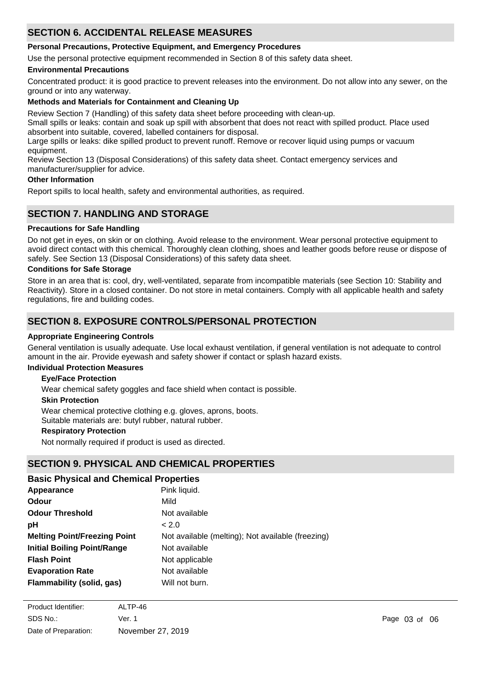# **SECTION 6. ACCIDENTAL RELEASE MEASURES**

### **Personal Precautions, Protective Equipment, and Emergency Procedures**

Use the personal protective equipment recommended in Section 8 of this safety data sheet.

### **Environmental Precautions**

Concentrated product: it is good practice to prevent releases into the environment. Do not allow into any sewer, on the ground or into any waterway.

### **Methods and Materials for Containment and Cleaning Up**

Review Section 7 (Handling) of this safety data sheet before proceeding with clean-up.

Small spills or leaks: contain and soak up spill with absorbent that does not react with spilled product. Place used absorbent into suitable, covered, labelled containers for disposal.

Large spills or leaks: dike spilled product to prevent runoff. Remove or recover liquid using pumps or vacuum equipment.

Review Section 13 (Disposal Considerations) of this safety data sheet. Contact emergency services and manufacturer/supplier for advice.

#### **Other Information**

Report spills to local health, safety and environmental authorities, as required.

# **SECTION 7. HANDLING AND STORAGE**

### **Precautions for Safe Handling**

Do not get in eyes, on skin or on clothing. Avoid release to the environment. Wear personal protective equipment to avoid direct contact with this chemical. Thoroughly clean clothing, shoes and leather goods before reuse or dispose of safely. See Section 13 (Disposal Considerations) of this safety data sheet.

### **Conditions for Safe Storage**

Store in an area that is: cool, dry, well-ventilated, separate from incompatible materials (see Section 10: Stability and Reactivity). Store in a closed container. Do not store in metal containers. Comply with all applicable health and safety regulations, fire and building codes.

# **SECTION 8. EXPOSURE CONTROLS/PERSONAL PROTECTION**

#### **Appropriate Engineering Controls**

General ventilation is usually adequate. Use local exhaust ventilation, if general ventilation is not adequate to control amount in the air. Provide eyewash and safety shower if contact or splash hazard exists.

### **Individual Protection Measures**

### **Eye/Face Protection**

Wear chemical safety goggles and face shield when contact is possible.

#### **Skin Protection**

Wear chemical protective clothing e.g. gloves, aprons, boots. Suitable materials are: butyl rubber, natural rubber.

#### **Respiratory Protection**

Not normally required if product is used as directed.

# **SECTION 9. PHYSICAL AND CHEMICAL PROPERTIES**

### **Basic Physical and Chemical Properties**

| Appearance                          | Pink liquid.                                      |
|-------------------------------------|---------------------------------------------------|
| <b>Odour</b>                        | Mild                                              |
| <b>Odour Threshold</b>              | Not available                                     |
| pH                                  | < 2.0                                             |
| <b>Melting Point/Freezing Point</b> | Not available (melting); Not available (freezing) |
| <b>Initial Boiling Point/Range</b>  | Not available                                     |
| <b>Flash Point</b>                  | Not applicable                                    |
| <b>Evaporation Rate</b>             | Not available                                     |
| Flammability (solid, gas)           | Will not burn.                                    |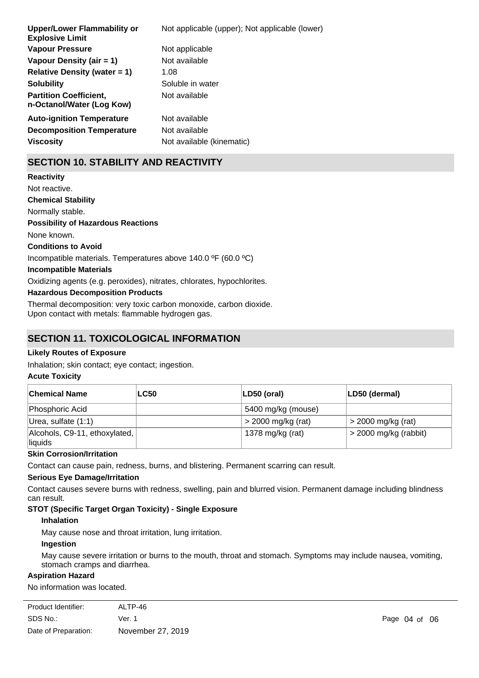| Not applicable (upper); Not applicable (lower) |
|------------------------------------------------|
| Not applicable                                 |
| Not available                                  |
| 1.08                                           |
| Soluble in water                               |
| Not available                                  |
| Not available                                  |
| Not available                                  |
| Not available (kinematic)                      |
|                                                |

# **SECTION 10. STABILITY AND REACTIVITY**

**Chemical Stability** Normally stable. **Conditions to Avoid** Incompatible materials. Temperatures above 140.0 ºF (60.0 ºC) **Incompatible Materials** Oxidizing agents (e.g. peroxides), nitrates, chlorates, hypochlorites. **Hazardous Decomposition Products** Thermal decomposition: very toxic carbon monoxide, carbon dioxide. Upon contact with metals: flammable hydrogen gas. **Possibility of Hazardous Reactions** None known. **Reactivity** Not reactive.

# **SECTION 11. TOXICOLOGICAL INFORMATION**

### **Likely Routes of Exposure**

Inhalation; skin contact; eye contact; ingestion.

#### **Acute Toxicity**

| <b>Chemical Name</b>                     | <b>LC50</b> | $ LD50$ (oral)       | LD50 (dermal)           |
|------------------------------------------|-------------|----------------------|-------------------------|
| Phosphoric Acid                          |             | 5400 mg/kg (mouse)   |                         |
| Urea, sulfate (1:1)                      |             | $>$ 2000 mg/kg (rat) | $>$ 2000 mg/kg (rat)    |
| Alcohols, C9-11, ethoxylated,<br>liquids |             | 1378 mg/kg (rat)     | $>$ 2000 mg/kg (rabbit) |

#### **Skin Corrosion/Irritation**

Contact can cause pain, redness, burns, and blistering. Permanent scarring can result.

#### **Serious Eye Damage/Irritation**

Contact causes severe burns with redness, swelling, pain and blurred vision. Permanent damage including blindness can result.

# **STOT (Specific Target Organ Toxicity) - Single Exposure**

#### **Inhalation**

May cause nose and throat irritation, lung irritation.

#### **Ingestion**

May cause severe irritation or burns to the mouth, throat and stomach. Symptoms may include nausea, vomiting, stomach cramps and diarrhea.

#### **Aspiration Hazard**

No information was located.

| ALTP-46           |
|-------------------|
| Ver. 1            |
| November 27, 2019 |
|                   |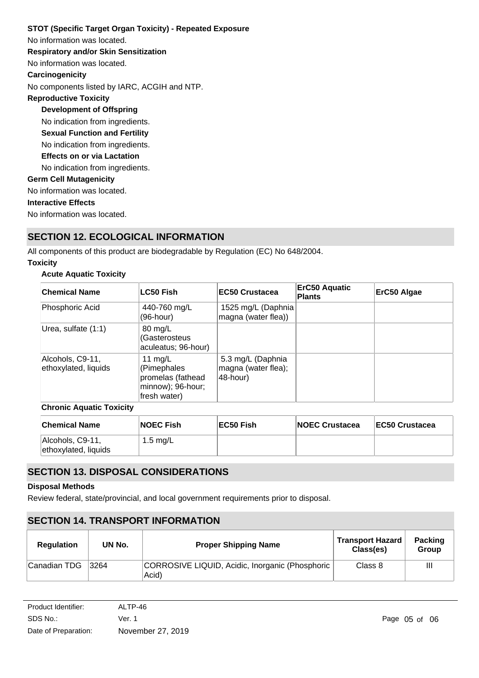No information was located. **STOT (Specific Target Organ Toxicity) - Repeated Exposure Respiratory and/or Skin Sensitization** No information was located. **Carcinogenicity** No components listed by IARC, ACGIH and NTP. **Development of Offspring** No indication from ingredients. **Reproductive Toxicity** No indication from ingredients. **Germ Cell Mutagenicity** No information was located. **Interactive Effects** No information was located. **Sexual Function and Fertility Effects on or via Lactation** No indication from ingredients.

# **SECTION 12. ECOLOGICAL INFORMATION**

All components of this product are biodegradable by Regulation (EC) No 648/2004.

# **Toxicity**

# **Acute Aquatic Toxicity**

| <b>Chemical Name</b>                     | <b>LC50 Fish</b>                                                                   | <b>EC50 Crustacea</b>                                | <b>ErC50 Aquatic</b><br><b>Plants</b> | ErC50 Algae |
|------------------------------------------|------------------------------------------------------------------------------------|------------------------------------------------------|---------------------------------------|-------------|
| Phosphoric Acid                          | 440-760 mg/L<br>(96-hour)                                                          | 1525 mg/L (Daphnia<br>magna (water flea))            |                                       |             |
| Urea, sulfate (1:1)                      | 80 mg/L<br>(Gasterosteus<br>aculeatus; 96-hour)                                    |                                                      |                                       |             |
| Alcohols, C9-11,<br>ethoxylated, liquids | 11 $mq/L$<br>(Pimephales<br>promelas (fathead<br>minnow); 96-hour;<br>fresh water) | 5.3 mg/L (Daphnia<br>magna (water flea);<br>48-hour) |                                       |             |

### **Chronic Aquatic Toxicity**

| <b>Chemical Name</b>                     | <b>NOEC Fish</b> | ∣EC50 Fish | <b>NOEC Crustacea</b> | <b>IEC50 Crustacea</b> |
|------------------------------------------|------------------|------------|-----------------------|------------------------|
| Alcohols, C9-11,<br>ethoxylated, liquids | 1.5 mg/L         |            |                       |                        |

# **SECTION 13. DISPOSAL CONSIDERATIONS**

#### **Disposal Methods**

Review federal, state/provincial, and local government requirements prior to disposal.

# **SECTION 14. TRANSPORT INFORMATION**

| <b>Regulation</b> | UN No. | <b>Proper Shipping Name</b>                              | <b>Transport Hazard</b><br>Class(es) | <b>Packing</b><br><b>Group</b> |
|-------------------|--------|----------------------------------------------------------|--------------------------------------|--------------------------------|
| Canadian TDG      | 3264   | CORROSIVE LIQUID, Acidic, Inorganic (Phosphoric<br>Acid) | Class 8                              | $\mathbf{III}$                 |